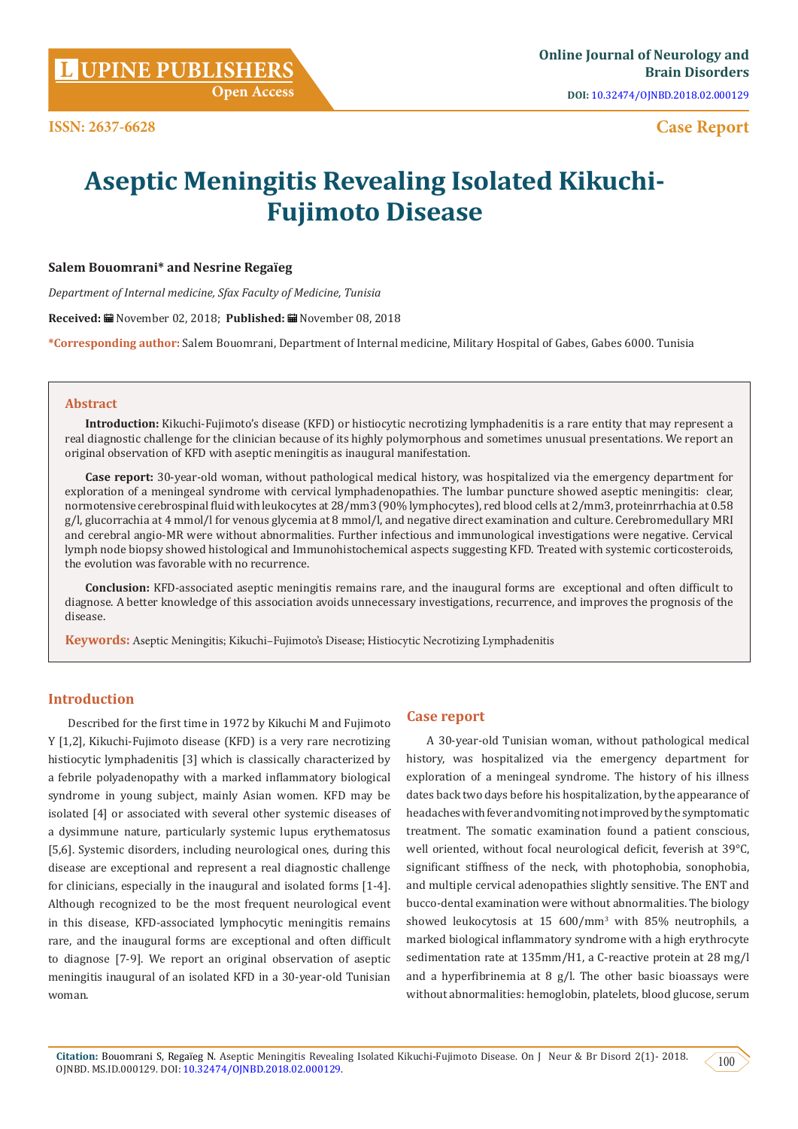**DOI:** [10.32474/OJNBD.2018.02.000129](http://dx.doi.org/10.32474/OJNBD.2018.02.000129)

# **Case Report**

# **Aseptic Meningitis Revealing Isolated Kikuchi-Fujimoto Disease**

#### **Salem Bouomrani\* and Nesrine Regaïeg**

*Department of Internal medicine, Sfax Faculty of Medicine, Tunisia*

**Received:** November 02, 2018; **Published:** November 08, 2018

**\*Corresponding author:** Salem Bouomrani, Department of Internal medicine, Military Hospital of Gabes, Gabes 6000. Tunisia

#### **Abstract**

**Introduction:** Kikuchi-Fujimoto's disease (KFD) or histiocytic necrotizing lymphadenitis is a rare entity that may represent a real diagnostic challenge for the clinician because of its highly polymorphous and sometimes unusual presentations. We report an original observation of KFD with aseptic meningitis as inaugural manifestation.

**Case report:** 30-year-old woman, without pathological medical history, was hospitalized via the emergency department for exploration of a meningeal syndrome with cervical lymphadenopathies. The lumbar puncture showed aseptic meningitis: clear, normotensive cerebrospinal fluid with leukocytes at 28/mm3 (90% lymphocytes), red blood cells at 2/mm3, proteinrrhachia at 0.58 g/l, glucorrachia at 4 mmol/l for venous glycemia at 8 mmol/l, and negative direct examination and culture. Cerebromedullary MRI and cerebral angio-MR were without abnormalities. Further infectious and immunological investigations were negative. Cervical lymph node biopsy showed histological and Immunohistochemical aspects suggesting KFD. Treated with systemic corticosteroids, the evolution was favorable with no recurrence.

**Conclusion:** KFD-associated aseptic meningitis remains rare, and the inaugural forms are exceptional and often difficult to diagnose. A better knowledge of this association avoids unnecessary investigations, recurrence, and improves the prognosis of the disease.

**Keywords:** Aseptic Meningitis; Kikuchi–Fujimoto's Disease; Histiocytic Necrotizing Lymphadenitis

# **Introduction**

Described for the first time in 1972 by Kikuchi M and Fujimoto Y [1,2], Kikuchi-Fujimoto disease (KFD) is a very rare necrotizing histiocytic lymphadenitis [3] which is classically characterized by a febrile polyadenopathy with a marked inflammatory biological syndrome in young subject, mainly Asian women. KFD may be isolated [4] or associated with several other systemic diseases of a dysimmune nature, particularly systemic lupus erythematosus [5,6]. Systemic disorders, including neurological ones, during this disease are exceptional and represent a real diagnostic challenge for clinicians, especially in the inaugural and isolated forms [1-4]. Although recognized to be the most frequent neurological event in this disease, KFD-associated lymphocytic meningitis remains rare, and the inaugural forms are exceptional and often difficult to diagnose [7-9]. We report an original observation of aseptic meningitis inaugural of an isolated KFD in a 30-year-old Tunisian woman.

## **Case report**

A 30-year-old Tunisian woman, without pathological medical history, was hospitalized via the emergency department for exploration of a meningeal syndrome. The history of his illness dates back two days before his hospitalization, by the appearance of headaches with fever and vomiting not improved by the symptomatic treatment. The somatic examination found a patient conscious, well oriented, without focal neurological deficit, feverish at 39°C, significant stiffness of the neck, with photophobia, sonophobia, and multiple cervical adenopathies slightly sensitive. The ENT and bucco-dental examination were without abnormalities. The biology showed leukocytosis at 15 600/mm<sup>3</sup> with 85% neutrophils, a marked biological inflammatory syndrome with a high erythrocyte sedimentation rate at 135mm/H1, a C-reactive protein at 28 mg/l and a hyperfibrinemia at 8  $g/l$ . The other basic bioassays were without abnormalities: hemoglobin, platelets, blood glucose, serum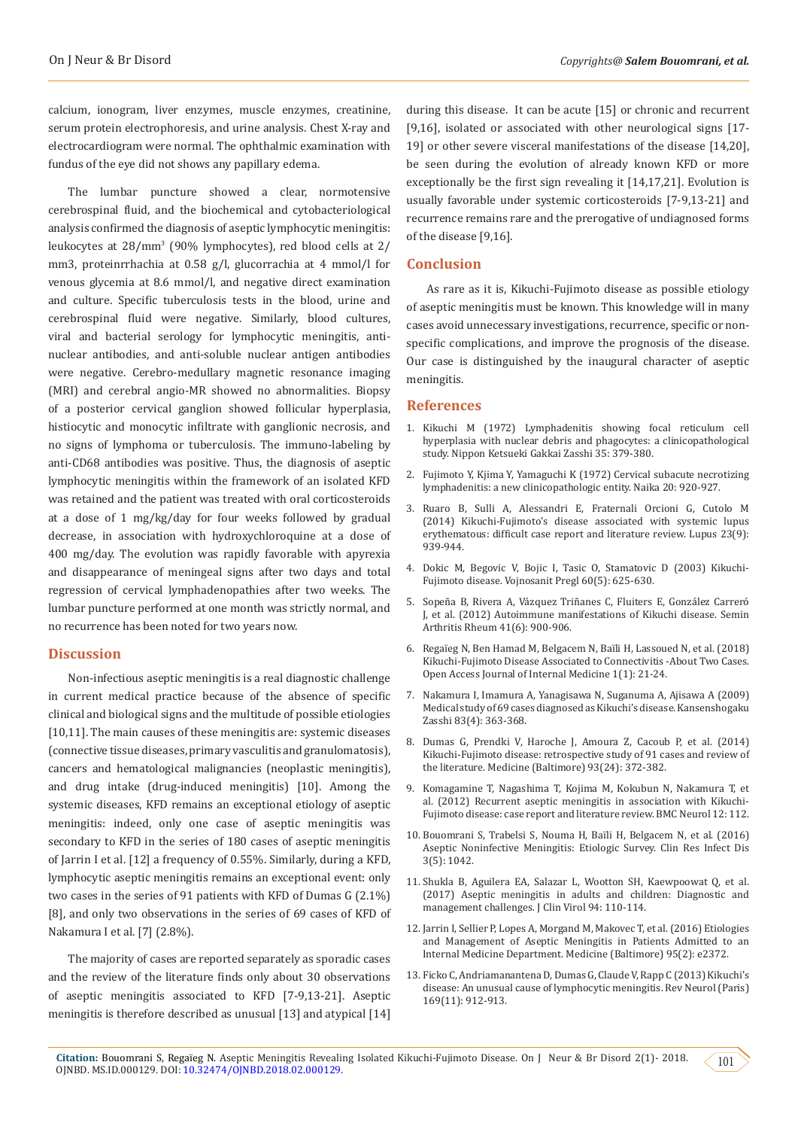calcium, ionogram, liver enzymes, muscle enzymes, creatinine, serum protein electrophoresis, and urine analysis. Chest X-ray and electrocardiogram were normal. The ophthalmic examination with fundus of the eye did not shows any papillary edema.

The lumbar puncture showed a clear, normotensive cerebrospinal fluid, and the biochemical and cytobacteriological analysis confirmed the diagnosis of aseptic lymphocytic meningitis: leukocytes at 28/mm<sup>3</sup> (90% lymphocytes), red blood cells at 2/ mm3, proteinrrhachia at 0.58 g/l, glucorrachia at 4 mmol/l for venous glycemia at 8.6 mmol/l, and negative direct examination and culture. Specific tuberculosis tests in the blood, urine and cerebrospinal fluid were negative. Similarly, blood cultures, viral and bacterial serology for lymphocytic meningitis, antinuclear antibodies, and anti-soluble nuclear antigen antibodies were negative. Cerebro-medullary magnetic resonance imaging (MRI) and cerebral angio-MR showed no abnormalities. Biopsy of a posterior cervical ganglion showed follicular hyperplasia, histiocytic and monocytic infiltrate with ganglionic necrosis, and no signs of lymphoma or tuberculosis. The immuno-labeling by anti-CD68 antibodies was positive. Thus, the diagnosis of aseptic lymphocytic meningitis within the framework of an isolated KFD was retained and the patient was treated with oral corticosteroids at a dose of 1 mg/kg/day for four weeks followed by gradual decrease, in association with hydroxychloroquine at a dose of 400 mg/day. The evolution was rapidly favorable with apyrexia and disappearance of meningeal signs after two days and total regression of cervical lymphadenopathies after two weeks. The lumbar puncture performed at one month was strictly normal, and no recurrence has been noted for two years now.

#### **Discussion**

Non-infectious aseptic meningitis is a real diagnostic challenge in current medical practice because of the absence of specific clinical and biological signs and the multitude of possible etiologies [10,11]. The main causes of these meningitis are: systemic diseases (connective tissue diseases, primary vasculitis and granulomatosis), cancers and hematological malignancies (neoplastic meningitis), and drug intake (drug-induced meningitis) [10]. Among the systemic diseases, KFD remains an exceptional etiology of aseptic meningitis: indeed, only one case of aseptic meningitis was secondary to KFD in the series of 180 cases of aseptic meningitis of Jarrin I et al. [12] a frequency of 0.55%. Similarly, during a KFD, lymphocytic aseptic meningitis remains an exceptional event: only two cases in the series of 91 patients with KFD of Dumas G (2.1%) [8], and only two observations in the series of 69 cases of KFD of Nakamura I et al. [7] (2.8%).

The majority of cases are reported separately as sporadic cases and the review of the literature finds only about 30 observations of aseptic meningitis associated to KFD [7-9,13-21]. Aseptic meningitis is therefore described as unusual [13] and atypical [14]

during this disease. It can be acute [15] or chronic and recurrent [9,16], isolated or associated with other neurological signs [17- 19] or other severe visceral manifestations of the disease [14,20], be seen during the evolution of already known KFD or more exceptionally be the first sign revealing it [14,17,21]. Evolution is usually favorable under systemic corticosteroids [7-9,13-21] and recurrence remains rare and the prerogative of undiagnosed forms of the disease [9,16].

#### **Conclusion**

As rare as it is, Kikuchi-Fujimoto disease as possible etiology of aseptic meningitis must be known. This knowledge will in many cases avoid unnecessary investigations, recurrence, specific or nonspecific complications, and improve the prognosis of the disease. Our case is distinguished by the inaugural character of aseptic meningitis.

#### **References**

- 1. [Kikuchi M \(1972\) Lymphadenitis showing focal reticulum cell](https://ci.nii.ac.jp/naid/10008336899) [hyperplasia with nuclear debris and phagocytes: a clinicopathological](https://ci.nii.ac.jp/naid/10008336899) [study. Nippon Ketsueki Gakkai Zasshi 35: 379-380.](https://ci.nii.ac.jp/naid/10008336899)
- 2. Fujimoto Y, Kjima Y, Yamaguchi K (1972) Cervical subacute necrotizing lymphadenitis: a new clinicopathologic entity. Naika 20: 920-927.
- 3. [Ruaro B, Sulli A, Alessandri E, Fraternali Orcioni G, Cutolo M](https://www.ncbi.nlm.nih.gov/pubmed/24739458) [\(2014\) Kikuchi-Fujimoto's disease associated with systemic lupus](https://www.ncbi.nlm.nih.gov/pubmed/24739458) [erythematous: difficult case report and literature review. Lupus 23\(9\):](https://www.ncbi.nlm.nih.gov/pubmed/24739458) [939-944.](https://www.ncbi.nlm.nih.gov/pubmed/24739458)
- 4. [Dokic M, Begovic V, Bojic I, Tasic O, Stamatovic D \(2003\) Kikuchi-](https://www.ncbi.nlm.nih.gov/pubmed/14608843)[Fujimoto disease. Vojnosanit Pregl 60\(5\): 625-630.](https://www.ncbi.nlm.nih.gov/pubmed/14608843)
- 5. [Sopeña B, Rivera A, Vázquez Triñanes C, Fluiters E, González Carreró](https://www.ncbi.nlm.nih.gov/pubmed/22192931) [J, et al. \(2012\) Autoimmune manifestations of Kikuchi disease. Semin](https://www.ncbi.nlm.nih.gov/pubmed/22192931) [Arthritis Rheum 41\(6\): 900-906.](https://www.ncbi.nlm.nih.gov/pubmed/22192931)
- 6. Regaïeg N, Ben Hamad M, Belgacem N, Baïli H, Lassoued N, et al. (2018) Kikuchi-Fujimoto Disease Associated to Connectivitis -About Two Cases. Open Access Journal of Internal Medicine 1(1): 21-24.
- 7. [Nakamura I, Imamura A, Yanagisawa N, Suganuma A, Ajisawa A \(2009\)](https://www.ncbi.nlm.nih.gov/pubmed/19697871) [Medical study of 69 cases diagnosed as Kikuchi's disease. Kansenshogaku](https://www.ncbi.nlm.nih.gov/pubmed/19697871) [Zasshi 83\(4\): 363-368.](https://www.ncbi.nlm.nih.gov/pubmed/19697871)
- 8. [Dumas G, Prendki V, Haroche J, Amoura Z, Cacoub P, et al. \(2014\)](https://www.ncbi.nlm.nih.gov/pubmed/25500707) [Kikuchi-Fujimoto disease: retrospective study of 91 cases and review of](https://www.ncbi.nlm.nih.gov/pubmed/25500707) [the literature. Medicine \(Baltimore\) 93\(24\): 372-382.](https://www.ncbi.nlm.nih.gov/pubmed/25500707)
- 9. [Komagamine T, Nagashima T, Kojima M, Kokubun N, Nakamura T, et](https://www.ncbi.nlm.nih.gov/pubmed/23020225) [al. \(2012\) Recurrent aseptic meningitis in association with Kikuchi-](https://www.ncbi.nlm.nih.gov/pubmed/23020225)[Fujimoto disease: case report and literature review. BMC Neurol 12: 112.](https://www.ncbi.nlm.nih.gov/pubmed/23020225)
- 10. [Bouomrani S, Trabelsi S, Nouma H, Baïli H, Belgacem N, et al. \(2016\)](https://pdfs.semanticscholar.org/34e0/5397addca30d4d06cf412f31f2f85fa7e9b8.pdf) [Aseptic Noninfective Meningitis: Etiologic Survey. Clin Res Infect Dis](https://pdfs.semanticscholar.org/34e0/5397addca30d4d06cf412f31f2f85fa7e9b8.pdf) [3\(5\): 1042.](https://pdfs.semanticscholar.org/34e0/5397addca30d4d06cf412f31f2f85fa7e9b8.pdf)
- 11. [Shukla B, Aguilera EA, Salazar L, Wootton SH, Kaewpoowat Q, et al.](https://www.ncbi.nlm.nih.gov/pubmed/28806629) [\(2017\) Aseptic meningitis in adults and children: Diagnostic and](https://www.ncbi.nlm.nih.gov/pubmed/28806629) [management challenges. J Clin Virol 94: 110-114.](https://www.ncbi.nlm.nih.gov/pubmed/28806629)
- 12. [Jarrin I, Sellier P, Lopes A, Morgand M, Makovec T, et al. \(2016\) Etiologies](https://www.ncbi.nlm.nih.gov/pubmed/26765411) [and Management of Aseptic Meningitis in Patients Admitted to an](https://www.ncbi.nlm.nih.gov/pubmed/26765411) [Internal Medicine Department. Medicine \(Baltimore\) 95\(2\): e2372.](https://www.ncbi.nlm.nih.gov/pubmed/26765411)
- 13. [Ficko C, Andriamanantena D, Dumas G, Claude V, Rapp C \(2013\) Kikuchi's](https://www.ncbi.nlm.nih.gov/pubmed/23523015) [disease: An unusual cause of lymphocytic meningitis. Rev Neurol \(Paris\)](https://www.ncbi.nlm.nih.gov/pubmed/23523015) [169\(11\): 912-913.](https://www.ncbi.nlm.nih.gov/pubmed/23523015)